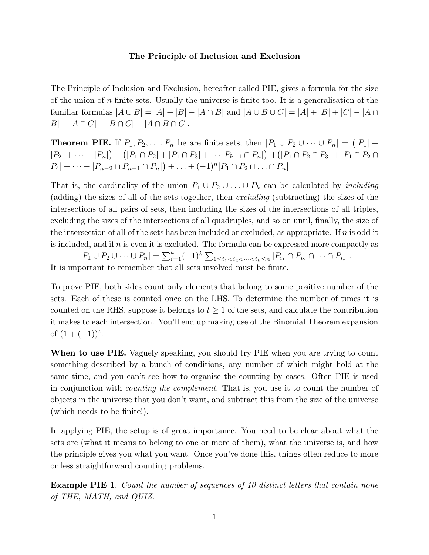## **The Principle of Inclusion and Exclusion**

The Principle of Inclusion and Exclusion, hereafter called PIE, gives a formula for the size of the union of n finite sets. Usually the universe is finite too. It is a generalisation of the familiar formulas  $|A \cup B| = |A| + |B| - |A \cap B|$  and  $|A \cup B \cup C| = |A| + |B| + |C| - |A \cap B|$  $B|-|A \cap C|-|B \cap C|+|A \cap B \cap C|.$ 

**Theorem PIE.** If  $P_1, P_2, \ldots, P_n$  be are finite sets, then  $|P_1 \cup P_2 \cup \cdots \cup P_n| = (|P_1| +$  $|P_2| + \cdots + |P_n|$   $- (|P_1 \cap P_2| + |P_1 \cap P_3| + \cdots + |P_{k-1} \cap P_n|) + (|P_1 \cap P_2 \cap P_3| + |P_1 \cap P_2 \cap P_3|)$  $P_4| + \cdots + |P_{n-2} \cap P_{n-1} \cap P_n| + \ldots + (-1)^n |P_1 \cap P_2 \cap \ldots \cap P_n|$ 

That is, the cardinality of the union  $P_1 \cup P_2 \cup ... \cup P_k$  can be calculated by *including* (adding) the sizes of all of the sets together, then excluding (subtracting) the sizes of the intersections of all pairs of sets, then including the sizes of the intersections of all triples, excluding the sizes of the intersections of all quadruples, and so on until, finally, the size of the intersection of all of the sets has been included or excluded, as appropriate. If  $n$  is odd it is included, and if  $n$  is even it is excluded. The formula can be expressed more compactly as

 $|P_1 \cup P_2 \cup \cdots \cup P_n| = \sum_{i=1}^k (-1)^k \sum_{1 \leq i_1 < i_2 < \cdots < i_k \leq n} |P_{i_1} \cap P_{i_2} \cap \cdots \cap P_{i_k}|.$ It is important to remember that all sets involved must be finite.

To prove PIE, both sides count only elements that belong to some positive number of the sets. Each of these is counted once on the LHS. To determine the number of times it is counted on the RHS, suppose it belongs to  $t \geq 1$  of the sets, and calculate the contribution it makes to each intersection. You'll end up making use of the Binomial Theorem expansion of  $(1 + (-1))^t$ .

**When to use PIE.** Vaguely speaking, you should try PIE when you are trying to count something described by a bunch of conditions, any number of which might hold at the same time, and you can't see how to organise the counting by cases. Often PIE is used in conjunction with counting the complement. That is, you use it to count the number of objects in the universe that you don't want, and subtract this from the size of the universe (which needs to be finite!).

In applying PIE, the setup is of great importance. You need to be clear about what the sets are (what it means to belong to one or more of them), what the universe is, and how the principle gives you what you want. Once you've done this, things often reduce to more or less straightforward counting problems.

**Example PIE 1.** Count the number of sequences of 10 distinct letters that contain none of THE, MATH, and QUIZ.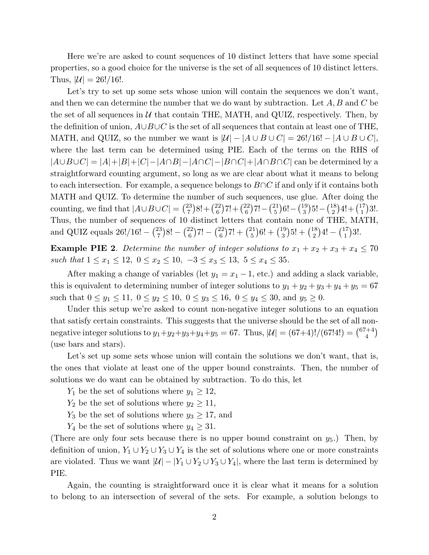Here we're are asked to count sequences of 10 distinct letters that have some special properties, so a good choice for the universe is the set of all sequences of 10 distinct letters. Thus,  $|U| = 26!/16!$ .

Let's try to set up some sets whose union will contain the sequences we don't want, and then we can determine the number that we do want by subtraction. Let  $A, B$  and  $C$  be the set of all sequences in  $U$  that contain THE, MATH, and QUIZ, respectively. Then, by the definition of union,  $A\cup B\cup C$  is the set of all sequences that contain at least one of THE, MATH, and QUIZ, so the number we want is  $|U| - |A \cup B \cup C| = 26!/16! - |A \cup B \cup C|$ , where the last term can be determined using PIE. Each of the terms on the RHS of  $|A\cup B\cup C| = |A|+|B|+|C|-|A\cap B|-|A\cap C|-|B\cap C|+|A\cap B\cap C|$  can be determined by a straightforward counting argument, so long as we are clear about what it means to belong to each intersection. For example, a sequence belongs to  $B\cap C$  if and only if it contains both MATH and QUIZ. To determine the number of such sequences, use glue. After doing the counting, we find that  $|A \cup B \cup C| = \binom{23}{7}$  $\binom{23}{7}8!+\binom{22}{6}$  $\binom{22}{6}$ 7!+ $\binom{22}{6}$  $\binom{22}{6}$ 7! –  $\binom{21}{5}$  $\binom{21}{5}$ 6! –  $\binom{19}{3}$  $\binom{19}{3}$ 5! –  $\binom{18}{2}$  $\binom{18}{2}$ 4! +  $\binom{17}{1}$  $\binom{17}{1}3!$ . Thus, the number of sequences of 10 distinct letters that contain none of THE, MATH, and QUIZ equals  $26!/16! - {23 \choose 7}$  $\binom{23}{7}8! - \binom{22}{6}$  $\binom{22}{6}$ 7! –  $\binom{22}{6}$  $\binom{22}{6}$ 7! +  $\binom{21}{5}$  $\binom{21}{5}6! + \binom{19}{3}$  $\binom{19}{3}$ 5! +  $\binom{18}{2}$  $\binom{18}{2}$ 4! –  $\binom{17}{1}$  $\binom{17}{1}3!$ .

**Example PIE 2**. Determine the number of integer solutions to  $x_1 + x_2 + x_3 + x_4 \leq 70$ such that  $1 \le x_1 \le 12$ ,  $0 \le x_2 \le 10$ ,  $-3 \le x_3 \le 13$ ,  $5 \le x_4 \le 35$ .

After making a change of variables (let  $y_1 = x_1 - 1$ , etc.) and adding a slack variable, this is equivalent to determining number of integer solutions to  $y_1 + y_2 + y_3 + y_4 + y_5 = 67$ such that  $0 \le y_1 \le 11$ ,  $0 \le y_2 \le 10$ ,  $0 \le y_3 \le 16$ ,  $0 \le y_4 \le 30$ , and  $y_5 \ge 0$ .

Under this setup we're asked to count non-negative integer solutions to an equation that satisfy certain constraints. This suggests that the universe should be the set of all nonnegative integer solutions to  $y_1 + y_2 + y_3 + y_4 + y_5 = 67$ . Thus,  $|\mathcal{U}| = (67+4)!/(67!4!) = {67+4 \choose 4}$  $\binom{+4}{4}$ (use bars and stars).

Let's set up some sets whose union will contain the solutions we don't want, that is, the ones that violate at least one of the upper bound constraints. Then, the number of solutions we do want can be obtained by subtraction. To do this, let

- $Y_1$  be the set of solutions where  $y_1 \geq 12$ ,
- $Y_2$  be the set of solutions where  $y_2 \ge 11$ ,
- $Y_3$  be the set of solutions where  $y_3 \geq 17$ , and
- $Y_4$  be the set of solutions where  $y_4 \geq 31$ .

(There are only four sets because there is no upper bound constraint on  $y_5$ .) Then, by definition of union,  $Y_1 \cup Y_2 \cup Y_3 \cup Y_4$  is the set of solutions where one or more constraints are violated. Thus we want  $|U| - |Y_1 \cup Y_2 \cup Y_3 \cup Y_4|$ , where the last term is determined by PIE.

Again, the counting is straightforward once it is clear what it means for a solution to belong to an intersection of several of the sets. For example, a solution belongs to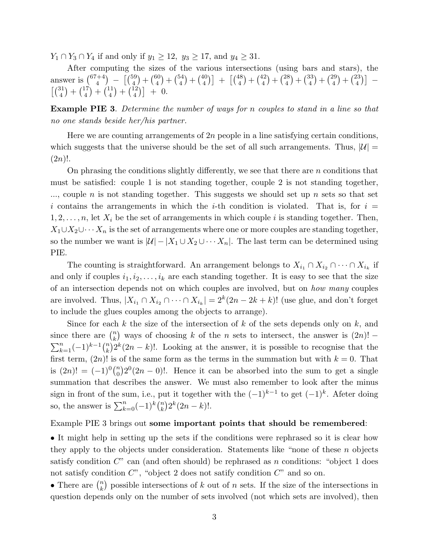$Y_1 \cap Y_3 \cap Y_4$  if and only if  $y_1 \ge 12$ ,  $y_3 \ge 17$ , and  $y_4 \ge 31$ .

After computing the sizes of the various intersections (using bars and stars), the answer is  $\binom{67+4}{4}$  $\binom{+4}{4}$  -  $\binom{59}{4}$  $\binom{59}{4} + \binom{60}{4}$  $\binom{50}{4} + \binom{54}{4}$  $\binom{54}{4} + \binom{40}{4}$  $\binom{40}{4}$  +  $\binom{48}{4}$  $\binom{48}{4} + \binom{42}{4}$  $\binom{12}{4} + \binom{28}{4}$  $\binom{28}{4} + \binom{33}{4}$  $\binom{33}{4} + \binom{29}{4}$  $\binom{29}{4} + \binom{23}{4}$  $\binom{23}{4}$  - $\lceil \binom{31}{4} \rceil$  $\binom{31}{4} + \binom{17}{4}$  $\binom{17}{4} + \binom{11}{4}$  $\binom{11}{4} + \binom{12}{4}$  $\binom{12}{4}$  + 0.

**Example PIE 3**. Determine the number of ways for n couples to stand in a line so that no one stands beside her/his partner.

Here we are counting arrangements of  $2n$  people in a line satisfying certain conditions, which suggests that the universe should be the set of all such arrangements. Thus,  $|\mathcal{U}| =$  $(2n)!$ .

On phrasing the conditions slightly differently, we see that there are  $n$  conditions that must be satisfied: couple 1 is not standing together, couple 2 is not standing together,  $\ldots$ , couple *n* is not standing together. This suggests we should set up *n* sets so that set i contains the arrangements in which the i-th condition is violated. That is, for  $i =$  $1, 2, \ldots, n$ , let  $X_i$  be the set of arrangements in which couple i is standing together. Then,  $X_1 \cup X_2 \cup \cdots X_n$  is the set of arrangements where one or more couples are standing together, so the number we want is  $|\mathcal{U}| - |X_1 \cup X_2 \cup \cdots X_n|$ . The last term can be determined using PIE.

The counting is straightforward. An arrangement belongs to  $X_{i_1} \cap X_{i_2} \cap \cdots \cap X_{i_k}$  if and only if couples  $i_1, i_2, \ldots, i_k$  are each standing together. It is easy to see that the size of an intersection depends not on which couples are involved, but on how many couples are involved. Thus,  $|X_{i_1} \cap X_{i_2} \cap \cdots \cap X_{i_k}| = 2^k(2n - 2k + k)!$  (use glue, and don't forget to include the glues couples among the objects to arrange).

Since for each k the size of the intersection of k of the sets depends only on k, and since there are  $\binom{n}{k}$  $\binom{n}{k}$  ways of choosing k of the n sets to intersect, the answer is  $(2n)!$  –  $\sum_{k=1}^{n}(-1)^{k-1}\binom{n}{k}$  $\binom{n}{k} 2^k (2n - k)!$ . Looking at the answer, it is possible to recognise that the first term,  $(2n)!$  is of the same form as the terms in the summation but with  $k = 0$ . That is  $(2n)! = (-1)^0 {n \choose 0}$  $\binom{n}{0} 2^0(2n-0)!$ . Hence it can be absorbed into the sum to get a single summation that describes the answer. We must also remember to look after the minus sign in front of the sum, i.e., put it together with the  $(-1)^{k-1}$  to get  $(-1)^k$ . Afeter doing so, the answer is  $\sum_{k=0}^{n}(-1)^{k}\binom{n}{k}$  $\binom{n}{k} 2^k (2n-k)!$ .

## Example PIE 3 brings out **some important points that should be remembered**:

• It might help in setting up the sets if the conditions were rephrased so it is clear how they apply to the objects under consideration. Statements like "none of these  $n$  objects satisfy condition  $C^{\prime\prime}$  can (and often should) be rephrased as n conditions: "object 1 does not satisfy condition  $C$ ", "object 2 does not satify condition  $C$ " and so on.

• There are  $\binom{n}{k}$  $\binom{n}{k}$  possible intersections of k out of n sets. If the size of the intersections in question depends only on the number of sets involved (not which sets are involved), then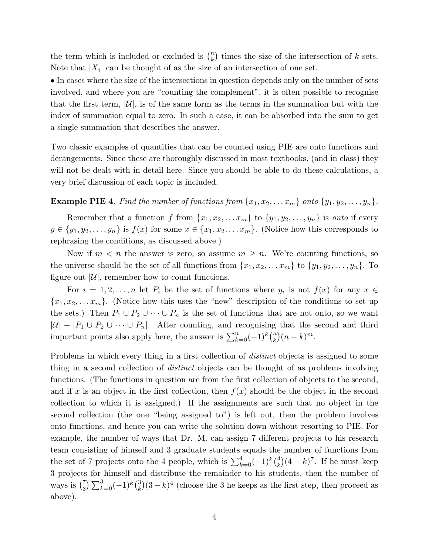the term which is included or excluded is  $\binom{n}{k}$  $\binom{n}{k}$  times the size of the intersection of k sets. Note that  $|X_i|$  can be thought of as the size of an intersection of one set.

• In cases where the size of the intersections in question depends only on the number of sets involved, and where you are "counting the complement", it is often possible to recognise that the first term,  $|\mathcal{U}|$ , is of the same form as the terms in the summation but with the index of summation equal to zero. In such a case, it can be absorbed into the sum to get a single summation that describes the answer.

Two classic examples of quantities that can be counted using PIE are onto functions and derangements. Since these are thoroughly discussed in most textbooks, (and in class) they will not be dealt with in detail here. Since you should be able to do these calculations, a very brief discussion of each topic is included.

## **Example PIE 4.** Find the number of functions from  $\{x_1, x_2, \ldots x_m\}$  onto  $\{y_1, y_2, \ldots, y_n\}$ .

Remember that a function f from  $\{x_1, x_2, \ldots x_m\}$  to  $\{y_1, y_2, \ldots, y_n\}$  is onto if every  $y \in \{y_1, y_2, \ldots, y_n\}$  is  $f(x)$  for some  $x \in \{x_1, x_2, \ldots, x_m\}$ . (Notice how this corresponds to rephrasing the conditions, as discussed above.)

Now if  $m < n$  the answer is zero, so assume  $m \geq n$ . We're counting functions, so the universe should be the set of all functions from  $\{x_1, x_2, \ldots x_m\}$  to  $\{y_1, y_2, \ldots, y_n\}$ . To figure out  $|\mathcal{U}|$ , remember how to count functions.

For  $i = 1, 2, ..., n$  let  $P_i$  be the set of functions where  $y_i$  is not  $f(x)$  for any  $x \in$  ${x_1, x_2,...x_m}$ . (Notice how this uses the "new" description of the conditions to set up the sets.) Then  $P_1 \cup P_2 \cup \cdots \cup P_n$  is the set of functions that are not onto, so we want  $|U| - |P_1 \cup P_2 \cup \cdots \cup P_n|$ . After counting, and recognising that the second and third important points also apply here, the answer is  $\sum_{k=0}^{n}(-1)^{k}\binom{n}{k}$  $\binom{n}{k}(n-k)^m$ .

Problems in which every thing in a first collection of *distinct* objects is assigned to some thing in a second collection of distinct objects can be thought of as problems involving functions. (The functions in question are from the first collection of objects to the second, and if x is an object in the first collection, then  $f(x)$  should be the object in the second collection to which it is assigned.) If the assignments are such that no object in the second collection (the one "being assigned to") is left out, then the problem involves onto functions, and hence you can write the solution down without resorting to PIE. For example, the number of ways that Dr. M. can assign 7 different projects to his research team consisting of himself and 3 graduate students equals the number of functions from the set of 7 projects onto the 4 people, which is  $\sum_{k=0}^{4}(-1)^k\binom{4}{k}$  ${k \choose k} (4-k)^7$ . If he must keep 3 projects for himself and distribute the remainder to his students, then the number of ways is  $\binom{7}{3}$  $\binom{7}{3} \sum_{k=0}^{3} (-1)^k \binom{3}{k}$  $(k)$  $(k)$ <sup>4</sup> (choose the 3 he keeps as the first step, then proceed as above).